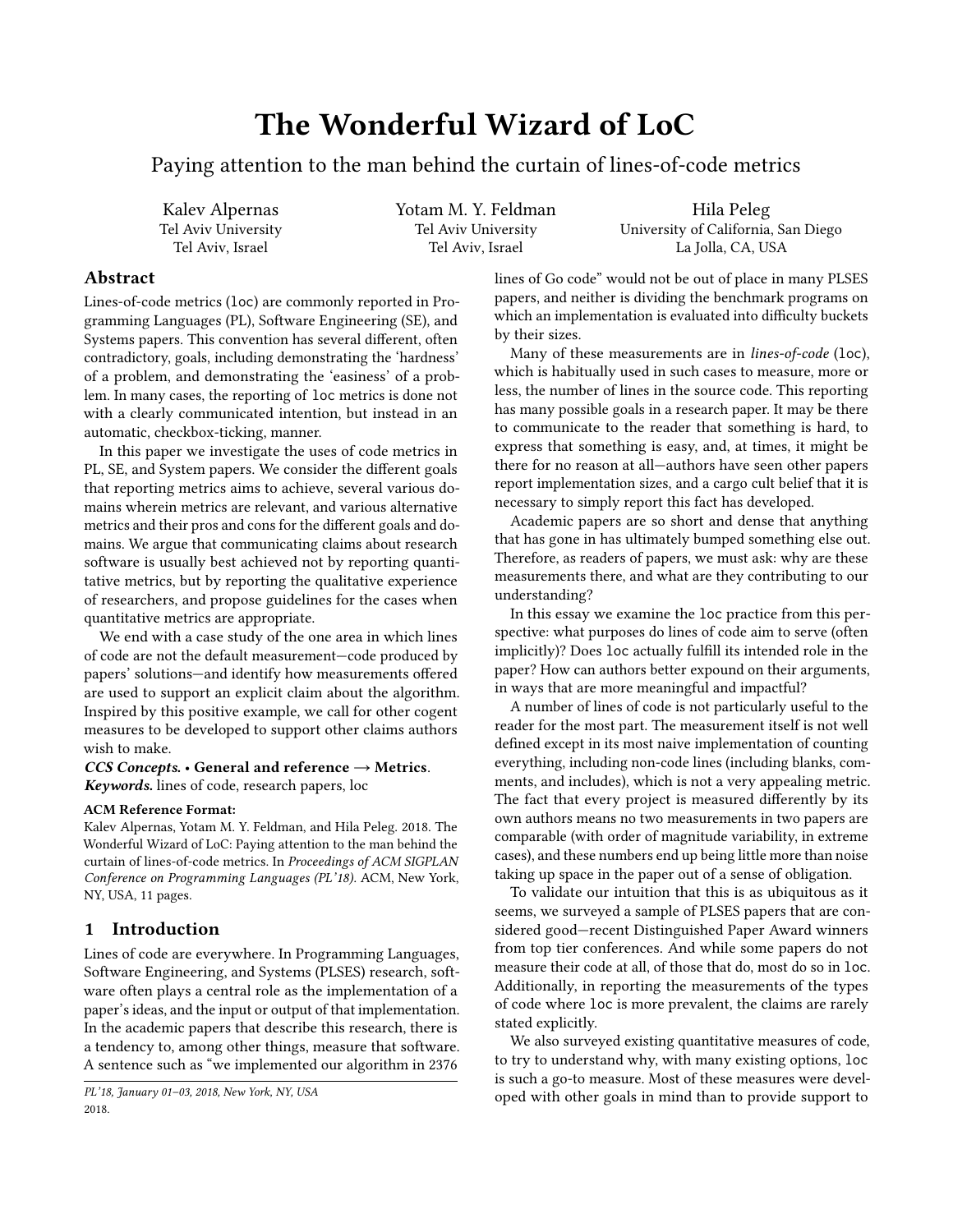# The Wonderful Wizard of LoC

Paying attention to the man behind the curtain of lines-of-code metrics

Kalev Alpernas Tel Aviv University Tel Aviv, Israel

Yotam M. Y. Feldman Tel Aviv University Tel Aviv, Israel

Hila Peleg University of California, San Diego La Jolla, CA, USA

# Abstract

Lines-of-code metrics (loc) are commonly reported in Programming Languages (PL), Software Engineering (SE), and Systems papers. This convention has several different, often contradictory, goals, including demonstrating the 'hardness' of a problem, and demonstrating the 'easiness' of a problem. In many cases, the reporting of loc metrics is done not with a clearly communicated intention, but instead in an automatic, checkbox-ticking, manner.

In this paper we investigate the uses of code metrics in PL, SE, and System papers. We consider the different goals that reporting metrics aims to achieve, several various domains wherein metrics are relevant, and various alternative metrics and their pros and cons for the different goals and domains. We argue that communicating claims about research software is usually best achieved not by reporting quantitative metrics, but by reporting the qualitative experience of researchers, and propose guidelines for the cases when quantitative metrics are appropriate.

We end with a case study of the one area in which lines of code are not the default measurement—code produced by papers' solutions—and identify how measurements offered are used to support an explicit claim about the algorithm. Inspired by this positive example, we call for other cogent measures to be developed to support other claims authors wish to make.

## CCS Concepts. • General and reference  $\rightarrow$  Metrics. Keywords. lines of code, research papers, loc

#### ACM Reference Format:

Kalev Alpernas, Yotam M. Y. Feldman, and Hila Peleg. 2018. The Wonderful Wizard of LoC: Paying attention to the man behind the curtain of lines-of-code metrics. In Proceedings of ACM SIGPLAN Conference on Programming Languages (PL'18). ACM, New York, NY, USA, [11](#page-10-0) pages.

## 1 Introduction

Lines of code are everywhere. In Programming Languages, Software Engineering, and Systems (PLSES) research, software often plays a central role as the implementation of a paper's ideas, and the input or output of that implementation. In the academic papers that describe this research, there is a tendency to, among other things, measure that software. A sentence such as "we implemented our algorithm in 2376

lines of Go code" would not be out of place in many PLSES papers, and neither is dividing the benchmark programs on which an implementation is evaluated into difficulty buckets by their sizes.

Many of these measurements are in lines-of-code (loc), which is habitually used in such cases to measure, more or less, the number of lines in the source code. This reporting has many possible goals in a research paper. It may be there to communicate to the reader that something is hard, to express that something is easy, and, at times, it might be there for no reason at all—authors have seen other papers report implementation sizes, and a cargo cult belief that it is necessary to simply report this fact has developed.

Academic papers are so short and dense that anything that has gone in has ultimately bumped something else out. Therefore, as readers of papers, we must ask: why are these measurements there, and what are they contributing to our understanding?

In this essay we examine the loc practice from this perspective: what purposes do lines of code aim to serve (often implicitly)? Does loc actually fulfill its intended role in the paper? How can authors better expound on their arguments, in ways that are more meaningful and impactful?

A number of lines of code is not particularly useful to the reader for the most part. The measurement itself is not well defined except in its most naive implementation of counting everything, including non-code lines (including blanks, comments, and includes), which is not a very appealing metric. The fact that every project is measured differently by its own authors means no two measurements in two papers are comparable (with order of magnitude variability, in extreme cases), and these numbers end up being little more than noise taking up space in the paper out of a sense of obligation.

To validate our intuition that this is as ubiquitous as it seems, we surveyed a sample of PLSES papers that are considered good—recent Distinguished Paper Award winners from top tier conferences. And while some papers do not measure their code at all, of those that do, most do so in loc. Additionally, in reporting the measurements of the types of code where loc is more prevalent, the claims are rarely stated explicitly.

We also surveyed existing quantitative measures of code, to try to understand why, with many existing options, loc is such a go-to measure. Most of these measures were developed with other goals in mind than to provide support to

PL'18, January 01–03, 2018, New York, NY, USA 2018.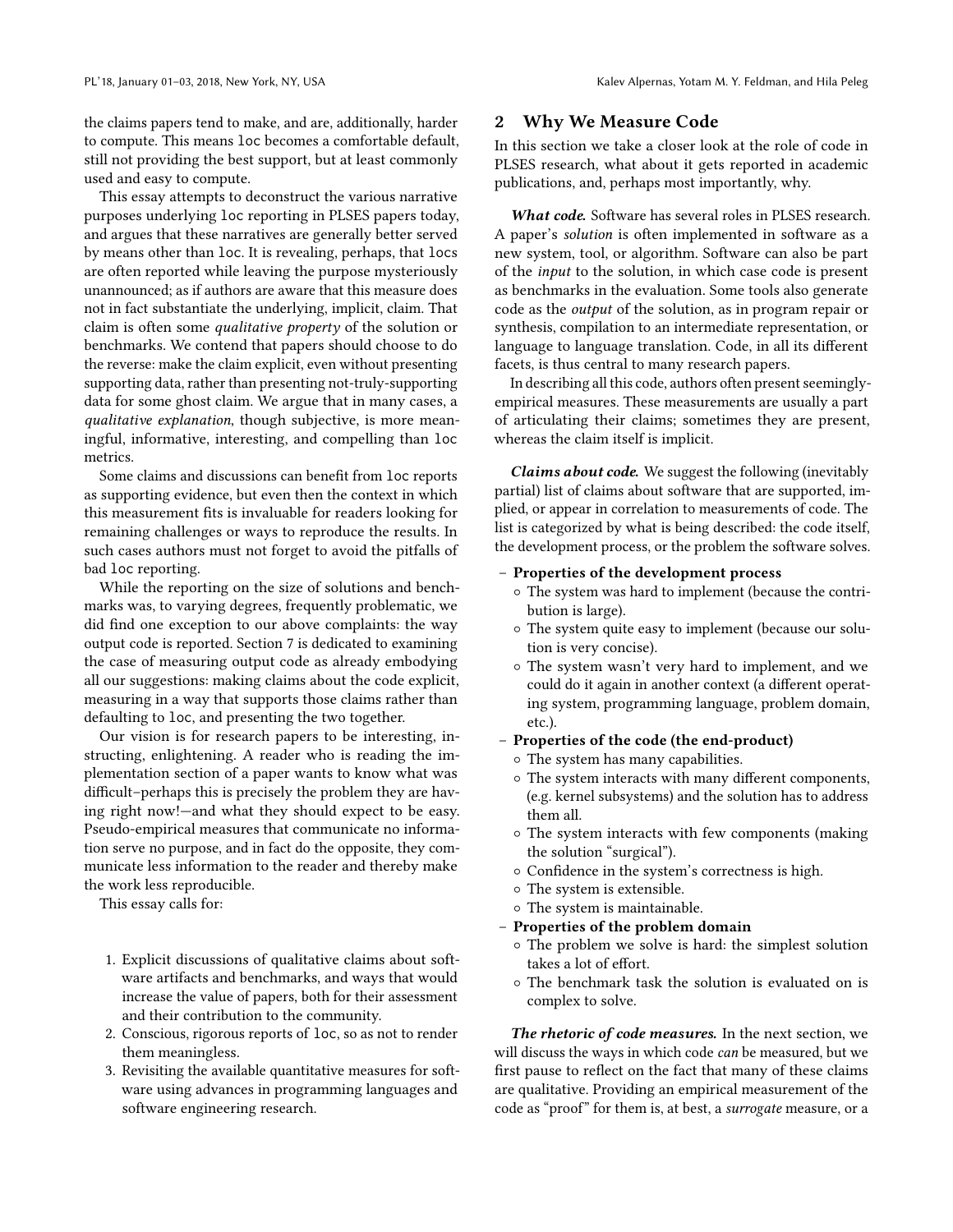the claims papers tend to make, and are, additionally, harder to compute. This means loc becomes a comfortable default, still not providing the best support, but at least commonly used and easy to compute.

This essay attempts to deconstruct the various narrative purposes underlying loc reporting in PLSES papers today, and argues that these narratives are generally better served by means other than loc. It is revealing, perhaps, that locs are often reported while leaving the purpose mysteriously unannounced; as if authors are aware that this measure does not in fact substantiate the underlying, implicit, claim. That claim is often some qualitative property of the solution or benchmarks. We contend that papers should choose to do the reverse: make the claim explicit, even without presenting supporting data, rather than presenting not-truly-supporting data for some ghost claim. We argue that in many cases, a qualitative explanation, though subjective, is more meaningful, informative, interesting, and compelling than loc metrics.

Some claims and discussions can benefit from loc reports as supporting evidence, but even then the context in which this measurement fits is invaluable for readers looking for remaining challenges or ways to reproduce the results. In such cases authors must not forget to avoid the pitfalls of bad loc reporting.

While the reporting on the size of solutions and benchmarks was, to varying degrees, frequently problematic, we did find one exception to our above complaints: the way output code is reported. Section [7](#page-8-0) is dedicated to examining the case of measuring output code as already embodying all our suggestions: making claims about the code explicit, measuring in a way that supports those claims rather than defaulting to loc, and presenting the two together.

Our vision is for research papers to be interesting, instructing, enlightening. A reader who is reading the implementation section of a paper wants to know what was difficult–perhaps this is precisely the problem they are having right now!—and what they should expect to be easy. Pseudo-empirical measures that communicate no information serve no purpose, and in fact do the opposite, they communicate less information to the reader and thereby make the work less reproducible.

This essay calls for:

- 1. Explicit discussions of qualitative claims about software artifacts and benchmarks, and ways that would increase the value of papers, both for their assessment and their contribution to the community.
- 2. Conscious, rigorous reports of loc, so as not to render them meaningless.
- 3. Revisiting the available quantitative measures for software using advances in programming languages and software engineering research.

## 2 Why We Measure Code

In this section we take a closer look at the role of code in PLSES research, what about it gets reported in academic publications, and, perhaps most importantly, why.

What code. Software has several roles in PLSES research. A paper's solution is often implemented in software as a new system, tool, or algorithm. Software can also be part of the input to the solution, in which case code is present as benchmarks in the evaluation. Some tools also generate code as the output of the solution, as in program repair or synthesis, compilation to an intermediate representation, or language to language translation. Code, in all its different facets, is thus central to many research papers.

In describing all this code, authors often present seeminglyempirical measures. These measurements are usually a part of articulating their claims; sometimes they are present, whereas the claim itself is implicit.

Claims about code. We suggest the following (inevitably partial) list of claims about software that are supported, implied, or appear in correlation to measurements of code. The list is categorized by what is being described: the code itself, the development process, or the problem the software solves.

- Properties of the development process
	- The system was hard to implement (because the contribution is large).
	- The system quite easy to implement (because our solution is very concise).
	- The system wasn't very hard to implement, and we could do it again in another context (a different operating system, programming language, problem domain, etc.).
- Properties of the code (the end-product)
	- The system has many capabilities.
	- The system interacts with many different components, (e.g. kernel subsystems) and the solution has to address them all.
	- The system interacts with few components (making the solution "surgical").
	- Confidence in the system's correctness is high.
	- The system is extensible.
	- The system is maintainable.
- Properties of the problem domain
	- The problem we solve is hard: the simplest solution takes a lot of effort.
	- The benchmark task the solution is evaluated on is complex to solve.

The rhetoric of code measures. In the next section, we will discuss the ways in which code can be measured, but we first pause to reflect on the fact that many of these claims are qualitative. Providing an empirical measurement of the code as "proof" for them is, at best, a surrogate measure, or a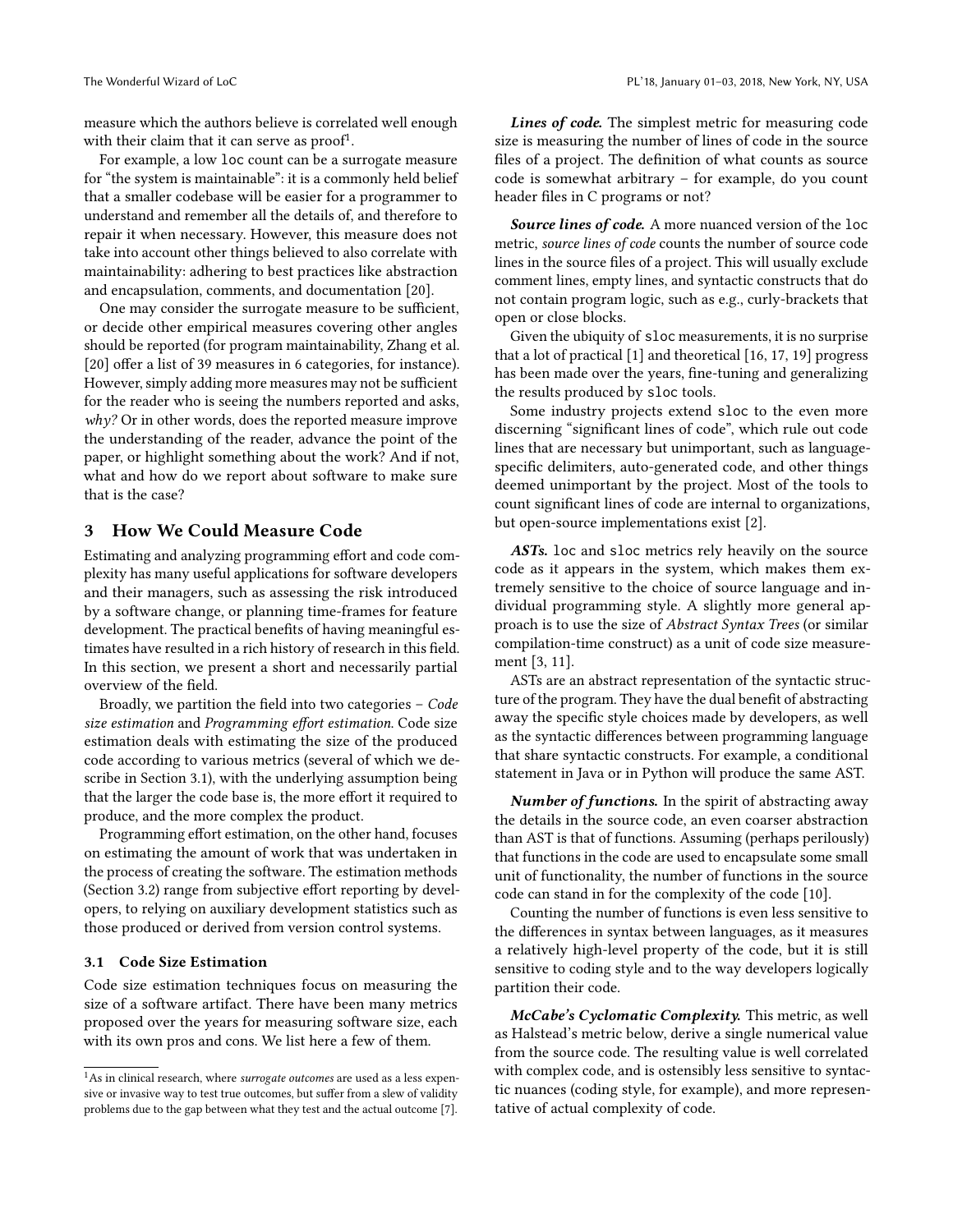measure which the authors believe is correlated well enough with their claim that it can serve as  $proof<sup>1</sup>$  $proof<sup>1</sup>$  $proof<sup>1</sup>$ .

For example, a low loc count can be a surrogate measure for "the system is maintainable": it is a commonly held belief that a smaller codebase will be easier for a programmer to understand and remember all the details of, and therefore to repair it when necessary. However, this measure does not take into account other things believed to also correlate with maintainability: adhering to best practices like abstraction and encapsulation, comments, and documentation [\[20\]](#page-10-1).

One may consider the surrogate measure to be sufficient, or decide other empirical measures covering other angles should be reported (for program maintainability, Zhang et al. [\[20\]](#page-10-1) offer a list of 39 measures in 6 categories, for instance). However, simply adding more measures may not be sufficient for the reader who is seeing the numbers reported and asks,  $why?$  Or in other words, does the reported measure improve the understanding of the reader, advance the point of the paper, or highlight something about the work? And if not, what and how do we report about software to make sure that is the case?

## 3 How We Could Measure Code

Estimating and analyzing programming effort and code complexity has many useful applications for software developers and their managers, such as assessing the risk introduced by a software change, or planning time-frames for feature development. The practical benefits of having meaningful estimates have resulted in a rich history of research in this field. In this section, we present a short and necessarily partial overview of the field.

Broadly, we partition the field into two categories – Code size estimation and Programming effort estimation. Code size estimation deals with estimating the size of the produced code according to various metrics (several of which we describe in Section [3.1\)](#page-2-1), with the underlying assumption being that the larger the code base is, the more effort it required to produce, and the more complex the product.

Programming effort estimation, on the other hand, focuses on estimating the amount of work that was undertaken in the process of creating the software. The estimation methods (Section [3.2\)](#page-3-0) range from subjective effort reporting by developers, to relying on auxiliary development statistics such as those produced or derived from version control systems.

#### <span id="page-2-1"></span>3.1 Code Size Estimation

Code size estimation techniques focus on measuring the size of a software artifact. There have been many metrics proposed over the years for measuring software size, each with its own pros and cons. We list here a few of them.

Lines of code. The simplest metric for measuring code size is measuring the number of lines of code in the source files of a project. The definition of what counts as source code is somewhat arbitrary – for example, do you count header files in C programs or not?

<span id="page-2-2"></span>**Source lines of code.** A more nuanced version of the loc metric, source lines of code counts the number of source code lines in the source files of a project. This will usually exclude comment lines, empty lines, and syntactic constructs that do not contain program logic, such as e.g., curly-brackets that open or close blocks.

Given the ubiquity of sloc measurements, it is no surprise that a lot of practical [\[1\]](#page-10-3) and theoretical [\[16,](#page-10-4) [17,](#page-10-5) [19\]](#page-10-6) progress has been made over the years, fine-tuning and generalizing the results produced by sloc tools.

Some industry projects extend sloc to the even more discerning "significant lines of code", which rule out code lines that are necessary but unimportant, such as languagespecific delimiters, auto-generated code, and other things deemed unimportant by the project. Most of the tools to count significant lines of code are internal to organizations, but open-source implementations exist [\[2\]](#page-10-7).

ASTs. loc and sloc metrics rely heavily on the source code as it appears in the system, which makes them extremely sensitive to the choice of source language and individual programming style. A slightly more general approach is to use the size of Abstract Syntax Trees (or similar compilation-time construct) as a unit of code size measurement [\[3,](#page-10-8) [11\]](#page-10-9).

ASTs are an abstract representation of the syntactic structure of the program. They have the dual benefit of abstracting away the specific style choices made by developers, as well as the syntactic differences between programming language that share syntactic constructs. For example, a conditional statement in Java or in Python will produce the same AST.

Number of functions. In the spirit of abstracting away the details in the source code, an even coarser abstraction than AST is that of functions. Assuming (perhaps perilously) that functions in the code are used to encapsulate some small unit of functionality, the number of functions in the source code can stand in for the complexity of the code [\[10\]](#page-10-10).

Counting the number of functions is even less sensitive to the differences in syntax between languages, as it measures a relatively high-level property of the code, but it is still sensitive to coding style and to the way developers logically partition their code.

McCabe's Cyclomatic Complexity. This metric, as well as Halstead's metric below, derive a single numerical value from the source code. The resulting value is well correlated with complex code, and is ostensibly less sensitive to syntactic nuances (coding style, for example), and more representative of actual complexity of code.

<span id="page-2-0"></span> $1$ As in clinical research, where surrogate outcomes are used as a less expensive or invasive way to test true outcomes, but suffer from a slew of validity problems due to the gap between what they test and the actual outcome [\[7\]](#page-10-2).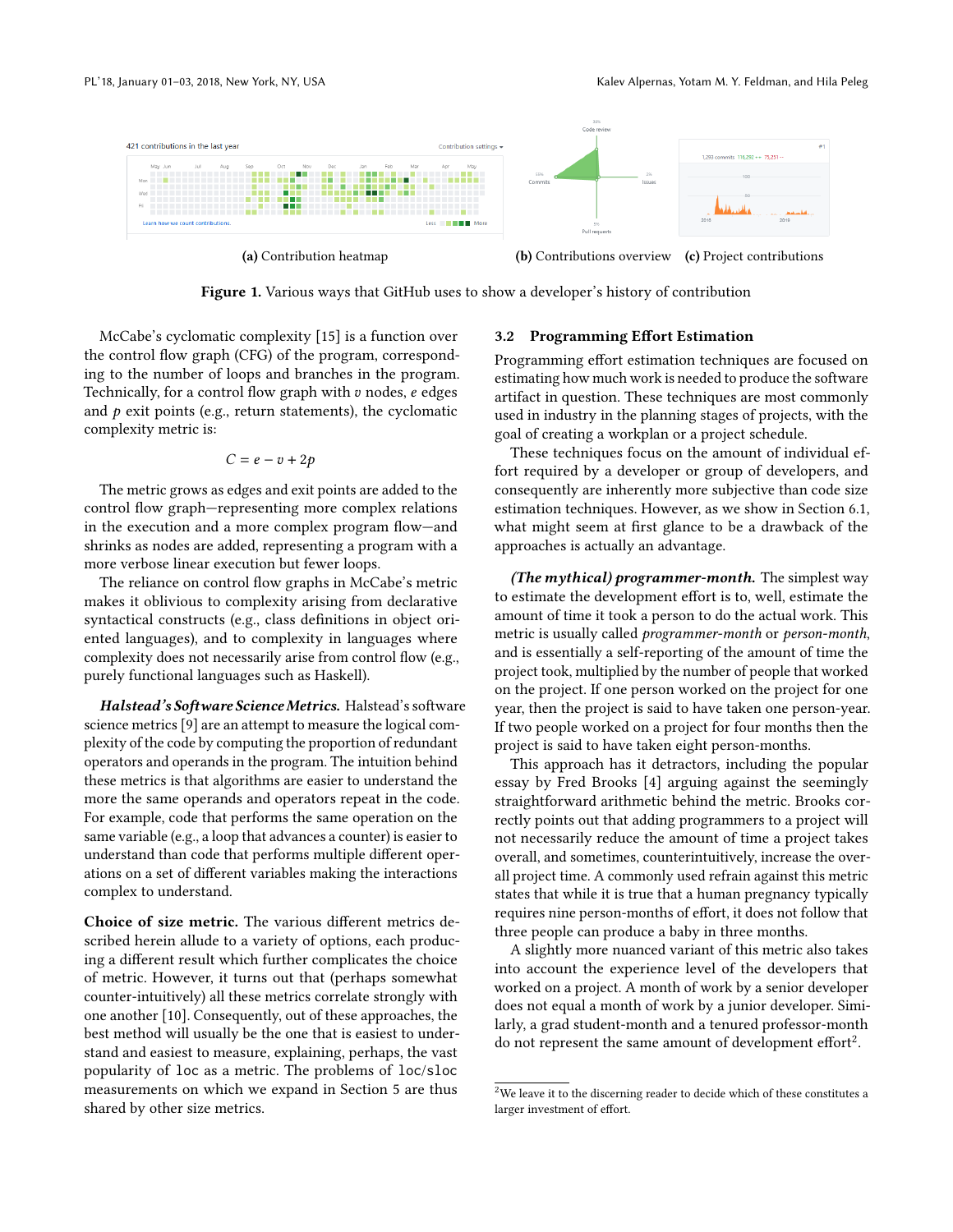<span id="page-3-2"></span>

Figure 1. Various ways that GitHub uses to show a developer's history of contribution

McCabe's cyclomatic complexity [\[15\]](#page-10-11) is a function over the control flow graph (CFG) of the program, corresponding to the number of loops and branches in the program. Technically, for a control flow graph with  $v$  nodes,  $e$  edges and  $p$  exit points (e.g., return statements), the cyclomatic complexity metric is:

$$
C = e - v + 2p
$$

The metric grows as edges and exit points are added to the control flow graph—representing more complex relations in the execution and a more complex program flow—and shrinks as nodes are added, representing a program with a more verbose linear execution but fewer loops.

The reliance on control flow graphs in McCabe's metric makes it oblivious to complexity arising from declarative syntactical constructs (e.g., class definitions in object oriented languages), and to complexity in languages where complexity does not necessarily arise from control flow (e.g., purely functional languages such as Haskell).

Halstead's Software Science Metrics. Halstead's software science metrics [\[9\]](#page-10-12) are an attempt to measure the logical complexity of the code by computing the proportion of redundant operators and operands in the program. The intuition behind these metrics is that algorithms are easier to understand the more the same operands and operators repeat in the code. For example, code that performs the same operation on the same variable (e.g., a loop that advances a counter) is easier to understand than code that performs multiple different operations on a set of different variables making the interactions complex to understand.

Choice of size metric. The various different metrics described herein allude to a variety of options, each producing a different result which further complicates the choice of metric. However, it turns out that (perhaps somewhat counter-intuitively) all these metrics correlate strongly with one another [\[10\]](#page-10-10). Consequently, out of these approaches, the best method will usually be the one that is easiest to understand and easiest to measure, explaining, perhaps, the vast popularity of loc as a metric. The problems of loc/sloc measurements on which we expand in Section [5](#page-5-0) are thus shared by other size metrics.

#### <span id="page-3-0"></span>3.2 Programming Effort Estimation

Programming effort estimation techniques are focused on estimating how much work is needed to produce the software artifact in question. These techniques are most commonly used in industry in the planning stages of projects, with the goal of creating a workplan or a project schedule.

These techniques focus on the amount of individual effort required by a developer or group of developers, and consequently are inherently more subjective than code size estimation techniques. However, as we show in Section [6.1,](#page-6-0) what might seem at first glance to be a drawback of the approaches is actually an advantage.

(The mythical) programmer-month. The simplest way to estimate the development effort is to, well, estimate the amount of time it took a person to do the actual work. This metric is usually called programmer-month or person-month, and is essentially a self-reporting of the amount of time the project took, multiplied by the number of people that worked on the project. If one person worked on the project for one year, then the project is said to have taken one person-year. If two people worked on a project for four months then the project is said to have taken eight person-months.

This approach has it detractors, including the popular essay by Fred Brooks [\[4\]](#page-10-13) arguing against the seemingly straightforward arithmetic behind the metric. Brooks correctly points out that adding programmers to a project will not necessarily reduce the amount of time a project takes overall, and sometimes, counterintuitively, increase the overall project time. A commonly used refrain against this metric states that while it is true that a human pregnancy typically requires nine person-months of effort, it does not follow that three people can produce a baby in three months.

A slightly more nuanced variant of this metric also takes into account the experience level of the developers that worked on a project. A month of work by a senior developer does not equal a month of work by a junior developer. Similarly, a grad student-month and a tenured professor-month  $\frac{1}{2}$  $\frac{1}{2}$  $\frac{1}{2}$  do not represent the same amount of development effort<sup>2</sup>.

<span id="page-3-1"></span> $^{2}\rm{We}$  leave it to the discerning reader to decide which of these constitutes a larger investment of effort.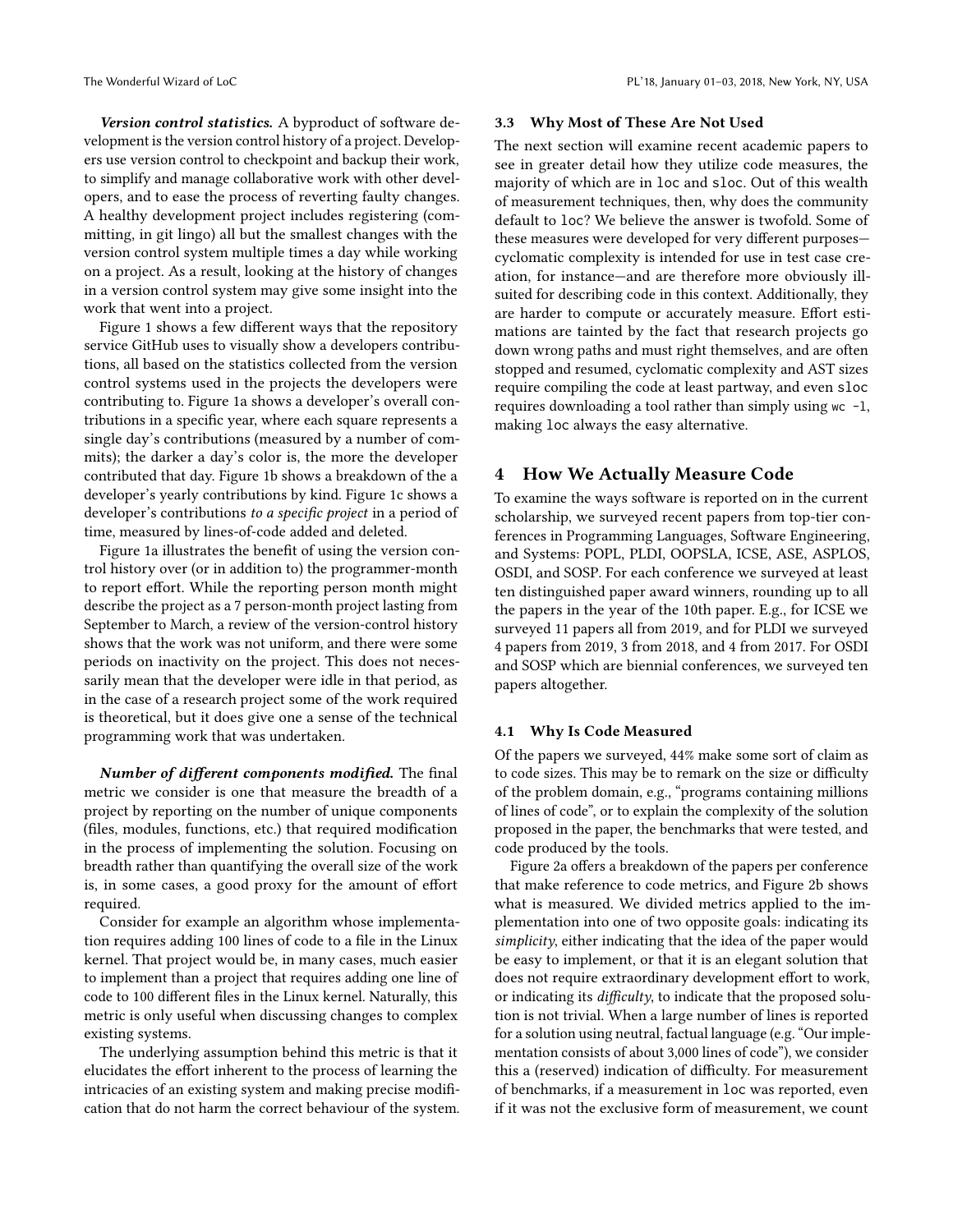Version control statistics. A byproduct of software development is the version control history of a project. Developers use version control to checkpoint and backup their work, to simplify and manage collaborative work with other developers, and to ease the process of reverting faulty changes. A healthy development project includes registering (committing, in git lingo) all but the smallest changes with the version control system multiple times a day while working on a project. As a result, looking at the history of changes in a version control system may give some insight into the

work that went into a project. Figure [1](#page-3-2) shows a few different ways that the repository service GitHub uses to visually show a developers contributions, all based on the statistics collected from the version control systems used in the projects the developers were contributing to. Figure [1a](#page-3-2) shows a developer's overall contributions in a specific year, where each square represents a single day's contributions (measured by a number of commits); the darker a day's color is, the more the developer contributed that day. Figure [1b](#page-3-2) shows a breakdown of the a developer's yearly contributions by kind. Figure [1c](#page-3-2) shows a developer's contributions to a specific project in a period of time, measured by lines-of-code added and deleted.

Figure [1a](#page-3-2) illustrates the benefit of using the version control history over (or in addition to) the programmer-month to report effort. While the reporting person month might describe the project as a 7 person-month project lasting from September to March, a review of the version-control history shows that the work was not uniform, and there were some periods on inactivity on the project. This does not necessarily mean that the developer were idle in that period, as in the case of a research project some of the work required is theoretical, but it does give one a sense of the technical programming work that was undertaken.

Number of different components modified. The final metric we consider is one that measure the breadth of a project by reporting on the number of unique components (files, modules, functions, etc.) that required modification in the process of implementing the solution. Focusing on breadth rather than quantifying the overall size of the work is, in some cases, a good proxy for the amount of effort required.

Consider for example an algorithm whose implementation requires adding 100 lines of code to a file in the Linux kernel. That project would be, in many cases, much easier to implement than a project that requires adding one line of code to 100 different files in the Linux kernel. Naturally, this metric is only useful when discussing changes to complex existing systems.

The underlying assumption behind this metric is that it elucidates the effort inherent to the process of learning the intricacies of an existing system and making precise modification that do not harm the correct behaviour of the system.

#### 3.3 Why Most of These Are Not Used

The next section will examine recent academic papers to see in greater detail how they utilize code measures, the majority of which are in loc and sloc. Out of this wealth of measurement techniques, then, why does the community default to loc? We believe the answer is twofold. Some of these measures were developed for very different purposes cyclomatic complexity is intended for use in test case creation, for instance—and are therefore more obviously illsuited for describing code in this context. Additionally, they are harder to compute or accurately measure. Effort estimations are tainted by the fact that research projects go down wrong paths and must right themselves, and are often stopped and resumed, cyclomatic complexity and AST sizes require compiling the code at least partway, and even sloc requires downloading a tool rather than simply using wc -l, making loc always the easy alternative.

## 4 How We Actually Measure Code

To examine the ways software is reported on in the current scholarship, we surveyed recent papers from top-tier conferences in Programming Languages, Software Engineering, and Systems: POPL, PLDI, OOPSLA, ICSE, ASE, ASPLOS, OSDI, and SOSP. For each conference we surveyed at least ten distinguished paper award winners, rounding up to all the papers in the year of the 10th paper. E.g., for ICSE we surveyed 11 papers all from 2019, and for PLDI we surveyed 4 papers from 2019, 3 from 2018, and 4 from 2017. For OSDI and SOSP which are biennial conferences, we surveyed ten papers altogether.

#### 4.1 Why Is Code Measured

Of the papers we surveyed, 44% make some sort of claim as to code sizes. This may be to remark on the size or difficulty of the problem domain, e.g., "programs containing millions of lines of code", or to explain the complexity of the solution proposed in the paper, the benchmarks that were tested, and code produced by the tools.

Figure [2a](#page-5-1) offers a breakdown of the papers per conference that make reference to code metrics, and Figure [2b](#page-5-1) shows what is measured. We divided metrics applied to the implementation into one of two opposite goals: indicating its simplicity, either indicating that the idea of the paper would be easy to implement, or that it is an elegant solution that does not require extraordinary development effort to work, or indicating its difficulty, to indicate that the proposed solution is not trivial. When a large number of lines is reported for a solution using neutral, factual language (e.g. "Our implementation consists of about 3,000 lines of code"), we consider this a (reserved) indication of difficulty. For measurement of benchmarks, if a measurement in loc was reported, even if it was not the exclusive form of measurement, we count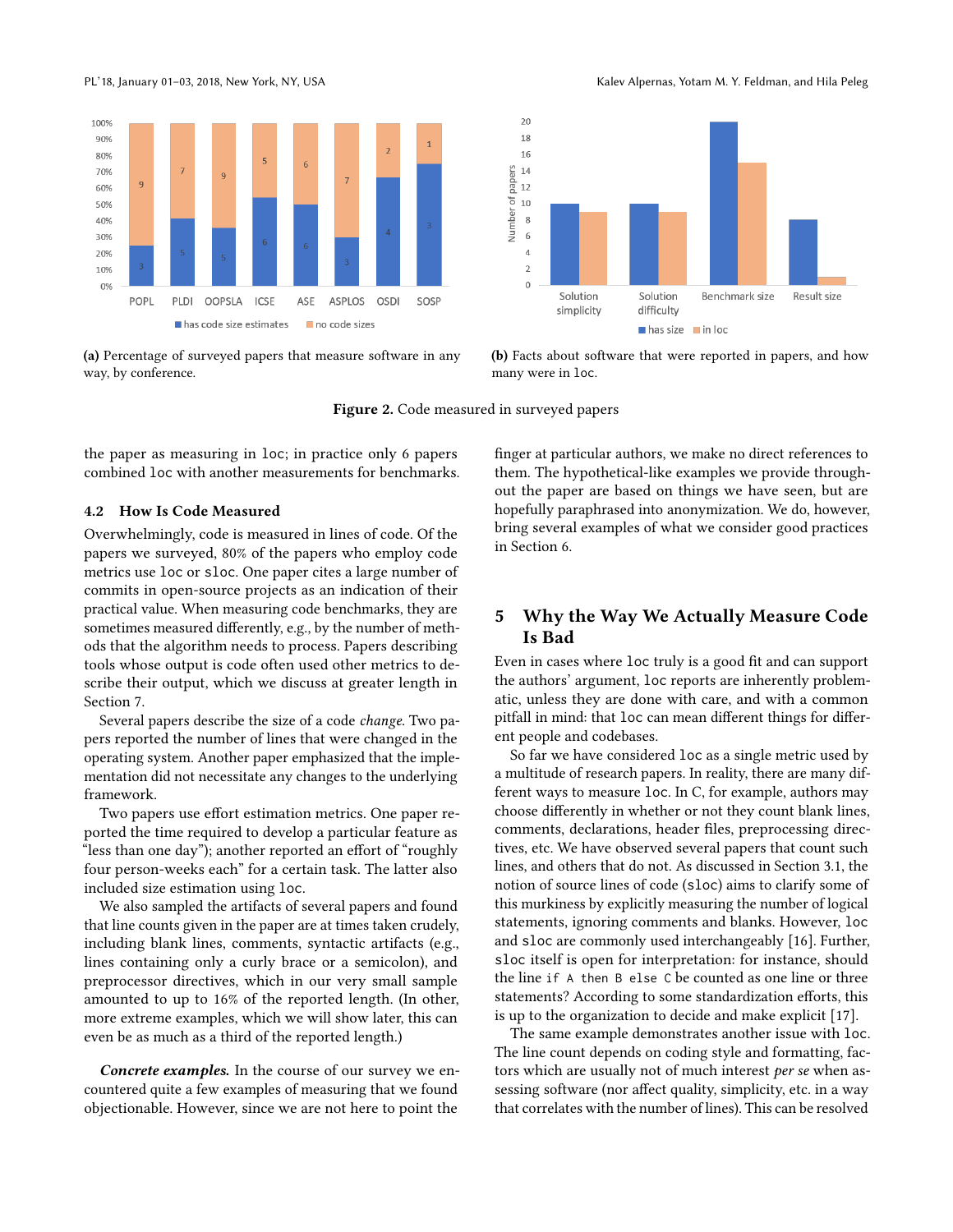<span id="page-5-1"></span>

(a) Percentage of surveyed papers that measure software in any way, by conference.

(b) Facts about software that were reported in papers, and how many were in loc.

Figure 2. Code measured in surveyed papers

the paper as measuring in loc; in practice only 6 papers combined loc with another measurements for benchmarks.

#### 4.2 How Is Code Measured

Overwhelmingly, code is measured in lines of code. Of the papers we surveyed, 80% of the papers who employ code metrics use loc or sloc. One paper cites a large number of commits in open-source projects as an indication of their practical value. When measuring code benchmarks, they are sometimes measured differently, e.g., by the number of methods that the algorithm needs to process. Papers describing tools whose output is code often used other metrics to describe their output, which we discuss at greater length in Section [7.](#page-8-0)

Several papers describe the size of a code change. Two papers reported the number of lines that were changed in the operating system. Another paper emphasized that the implementation did not necessitate any changes to the underlying framework.

Two papers use effort estimation metrics. One paper reported the time required to develop a particular feature as "less than one day"); another reported an effort of "roughly four person-weeks each" for a certain task. The latter also included size estimation using loc.

We also sampled the artifacts of several papers and found that line counts given in the paper are at times taken crudely, including blank lines, comments, syntactic artifacts (e.g., lines containing only a curly brace or a semicolon), and preprocessor directives, which in our very small sample amounted to up to 16% of the reported length. (In other, more extreme examples, which we will show later, this can even be as much as a third of the reported length.)

Concrete examples. In the course of our survey we encountered quite a few examples of measuring that we found objectionable. However, since we are not here to point the

finger at particular authors, we make no direct references to them. The hypothetical-like examples we provide throughout the paper are based on things we have seen, but are hopefully paraphrased into anonymization. We do, however, bring several examples of what we consider good practices in Section [6.](#page-6-1)

# <span id="page-5-0"></span>5 Why the Way We Actually Measure Code Is Bad

Even in cases where loc truly is a good fit and can support the authors' argument, loc reports are inherently problematic, unless they are done with care, and with a common pitfall in mind: that loc can mean different things for different people and codebases.

So far we have considered loc as a single metric used by a multitude of research papers. In reality, there are many different ways to measure loc. In C, for example, authors may choose differently in whether or not they count blank lines, comments, declarations, header files, preprocessing directives, etc. We have observed several papers that count such lines, and others that do not. As discussed in Section [3.1,](#page-2-2) the notion of source lines of code (sloc) aims to clarify some of this murkiness by explicitly measuring the number of logical statements, ignoring comments and blanks. However, loc and sloc are commonly used interchangeably [\[16\]](#page-10-4). Further, sloc itself is open for interpretation: for instance, should the line if A then B else C be counted as one line or three statements? According to some standardization efforts, this is up to the organization to decide and make explicit [\[17\]](#page-10-5).

The same example demonstrates another issue with loc. The line count depends on coding style and formatting, factors which are usually not of much interest per se when assessing software (nor affect quality, simplicity, etc. in a way that correlates with the number of lines). This can be resolved

PL'18, January 01-03, 2018, New York, NY, USA Kalev Alpernas, Yotam M. Y. Feldman, and Hila Peleg

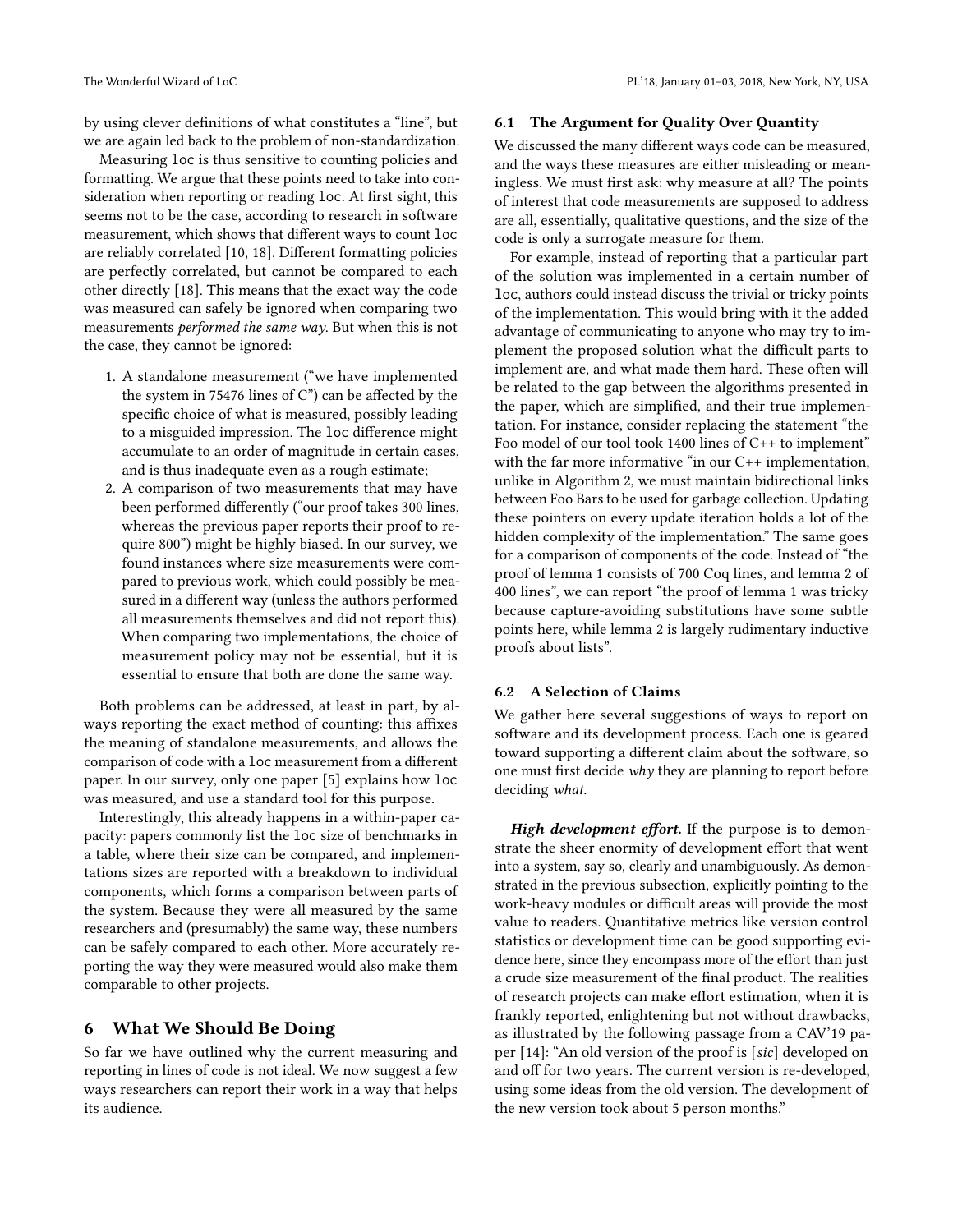by using clever definitions of what constitutes a "line", but we are again led back to the problem of non-standardization.

Measuring loc is thus sensitive to counting policies and formatting. We argue that these points need to take into consideration when reporting or reading loc. At first sight, this seems not to be the case, according to research in software measurement, which shows that different ways to count loc are reliably correlated [\[10,](#page-10-10) [18\]](#page-10-14). Different formatting policies are perfectly correlated, but cannot be compared to each other directly [\[18\]](#page-10-14). This means that the exact way the code was measured can safely be ignored when comparing two measurements performed the same way. But when this is not the case, they cannot be ignored:

- 1. A standalone measurement ("we have implemented the system in 75476 lines of C") can be affected by the specific choice of what is measured, possibly leading to a misguided impression. The loc difference might accumulate to an order of magnitude in certain cases, and is thus inadequate even as a rough estimate;
- 2. A comparison of two measurements that may have been performed differently ("our proof takes 300 lines, whereas the previous paper reports their proof to require 800") might be highly biased. In our survey, we found instances where size measurements were compared to previous work, which could possibly be measured in a different way (unless the authors performed all measurements themselves and did not report this). When comparing two implementations, the choice of measurement policy may not be essential, but it is essential to ensure that both are done the same way.

Both problems can be addressed, at least in part, by always reporting the exact method of counting: this affixes the meaning of standalone measurements, and allows the comparison of code with a loc measurement from a different paper. In our survey, only one paper [\[5\]](#page-10-15) explains how loc was measured, and use a standard tool for this purpose.

Interestingly, this already happens in a within-paper capacity: papers commonly list the loc size of benchmarks in a table, where their size can be compared, and implementations sizes are reported with a breakdown to individual components, which forms a comparison between parts of the system. Because they were all measured by the same researchers and (presumably) the same way, these numbers can be safely compared to each other. More accurately reporting the way they were measured would also make them comparable to other projects.

#### <span id="page-6-1"></span>6 What We Should Be Doing

So far we have outlined why the current measuring and reporting in lines of code is not ideal. We now suggest a few ways researchers can report their work in a way that helps its audience.

#### <span id="page-6-0"></span>6.1 The Argument for Quality Over Quantity

We discussed the many different ways code can be measured, and the ways these measures are either misleading or meaningless. We must first ask: why measure at all? The points of interest that code measurements are supposed to address are all, essentially, qualitative questions, and the size of the code is only a surrogate measure for them.

For example, instead of reporting that a particular part of the solution was implemented in a certain number of loc, authors could instead discuss the trivial or tricky points of the implementation. This would bring with it the added advantage of communicating to anyone who may try to implement the proposed solution what the difficult parts to implement are, and what made them hard. These often will be related to the gap between the algorithms presented in the paper, which are simplified, and their true implementation. For instance, consider replacing the statement "the Foo model of our tool took 1400 lines of C++ to implement" with the far more informative "in our C++ implementation, unlike in Algorithm 2, we must maintain bidirectional links between Foo Bars to be used for garbage collection. Updating these pointers on every update iteration holds a lot of the hidden complexity of the implementation." The same goes for a comparison of components of the code. Instead of "the proof of lemma 1 consists of 700 Coq lines, and lemma 2 of 400 lines", we can report "the proof of lemma 1 was tricky because capture-avoiding substitutions have some subtle points here, while lemma 2 is largely rudimentary inductive proofs about lists".

#### 6.2 A Selection of Claims

We gather here several suggestions of ways to report on software and its development process. Each one is geared toward supporting a different claim about the software, so one must first decide why they are planning to report before deciding what.

High development effort. If the purpose is to demonstrate the sheer enormity of development effort that went into a system, say so, clearly and unambiguously. As demonstrated in the previous subsection, explicitly pointing to the work-heavy modules or difficult areas will provide the most value to readers. Quantitative metrics like version control statistics or development time can be good supporting evidence here, since they encompass more of the effort than just a crude size measurement of the final product. The realities of research projects can make effort estimation, when it is frankly reported, enlightening but not without drawbacks, as illustrated by the following passage from a CAV'19 paper [\[14\]](#page-10-16): "An old version of the proof is [sic] developed on and off for two years. The current version is re-developed, using some ideas from the old version. The development of the new version took about 5 person months."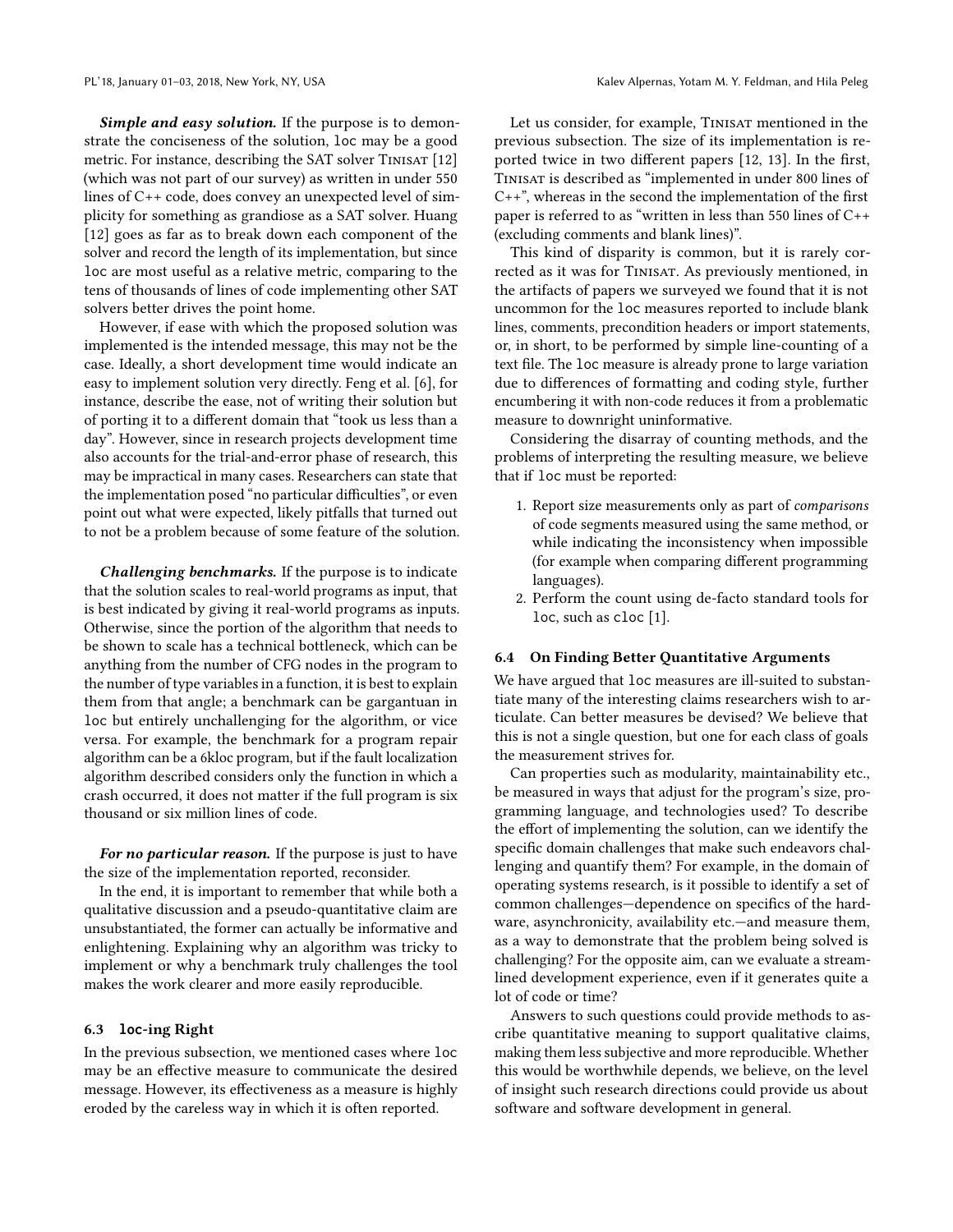Simple and easy solution. If the purpose is to demonstrate the conciseness of the solution, loc may be a good metric. For instance, describing the SAT solver TINISAT [\[12\]](#page-10-17) (which was not part of our survey) as written in under 550 lines of C++ code, does convey an unexpected level of simplicity for something as grandiose as a SAT solver. Huang [\[12\]](#page-10-17) goes as far as to break down each component of the solver and record the length of its implementation, but since loc are most useful as a relative metric, comparing to the tens of thousands of lines of code implementing other SAT solvers better drives the point home.

However, if ease with which the proposed solution was implemented is the intended message, this may not be the case. Ideally, a short development time would indicate an easy to implement solution very directly. Feng et al. [\[6\]](#page-10-18), for instance, describe the ease, not of writing their solution but of porting it to a different domain that "took us less than a day". However, since in research projects development time also accounts for the trial-and-error phase of research, this may be impractical in many cases. Researchers can state that the implementation posed "no particular difficulties", or even point out what were expected, likely pitfalls that turned out to not be a problem because of some feature of the solution.

Challenging benchmarks. If the purpose is to indicate that the solution scales to real-world programs as input, that is best indicated by giving it real-world programs as inputs. Otherwise, since the portion of the algorithm that needs to be shown to scale has a technical bottleneck, which can be anything from the number of CFG nodes in the program to the number of type variables in a function, it is best to explain them from that angle; a benchmark can be gargantuan in loc but entirely unchallenging for the algorithm, or vice versa. For example, the benchmark for a program repair algorithm can be a 6kloc program, but if the fault localization algorithm described considers only the function in which a crash occurred, it does not matter if the full program is six thousand or six million lines of code.

For no particular reason. If the purpose is just to have the size of the implementation reported, reconsider.

In the end, it is important to remember that while both a qualitative discussion and a pseudo-quantitative claim are unsubstantiated, the former can actually be informative and enlightening. Explaining why an algorithm was tricky to implement or why a benchmark truly challenges the tool makes the work clearer and more easily reproducible.

#### 6.3 **loc**-ing Right

In the previous subsection, we mentioned cases where loc may be an effective measure to communicate the desired message. However, its effectiveness as a measure is highly eroded by the careless way in which it is often reported.

Let us consider, for example, TINISAT mentioned in the previous subsection. The size of its implementation is reported twice in two different papers [\[12,](#page-10-17) [13\]](#page-10-19). In the first, Tinisat is described as "implemented in under 800 lines of C++", whereas in the second the implementation of the first paper is referred to as "written in less than 550 lines of C++ (excluding comments and blank lines)".

This kind of disparity is common, but it is rarely corrected as it was for TINISAT. As previously mentioned, in the artifacts of papers we surveyed we found that it is not uncommon for the loc measures reported to include blank lines, comments, precondition headers or import statements, or, in short, to be performed by simple line-counting of a text file. The loc measure is already prone to large variation due to differences of formatting and coding style, further encumbering it with non-code reduces it from a problematic measure to downright uninformative.

Considering the disarray of counting methods, and the problems of interpreting the resulting measure, we believe that if loc must be reported:

- 1. Report size measurements only as part of comparisons of code segments measured using the same method, or while indicating the inconsistency when impossible (for example when comparing different programming languages).
- 2. Perform the count using de-facto standard tools for loc, such as cloc [\[1\]](#page-10-3).

#### 6.4 On Finding Better Quantitative Arguments

We have argued that loc measures are ill-suited to substantiate many of the interesting claims researchers wish to articulate. Can better measures be devised? We believe that this is not a single question, but one for each class of goals the measurement strives for.

Can properties such as modularity, maintainability etc., be measured in ways that adjust for the program's size, programming language, and technologies used? To describe the effort of implementing the solution, can we identify the specific domain challenges that make such endeavors challenging and quantify them? For example, in the domain of operating systems research, is it possible to identify a set of common challenges—dependence on specifics of the hardware, asynchronicity, availability etc.—and measure them, as a way to demonstrate that the problem being solved is challenging? For the opposite aim, can we evaluate a streamlined development experience, even if it generates quite a lot of code or time?

Answers to such questions could provide methods to ascribe quantitative meaning to support qualitative claims, making them less subjective and more reproducible. Whether this would be worthwhile depends, we believe, on the level of insight such research directions could provide us about software and software development in general.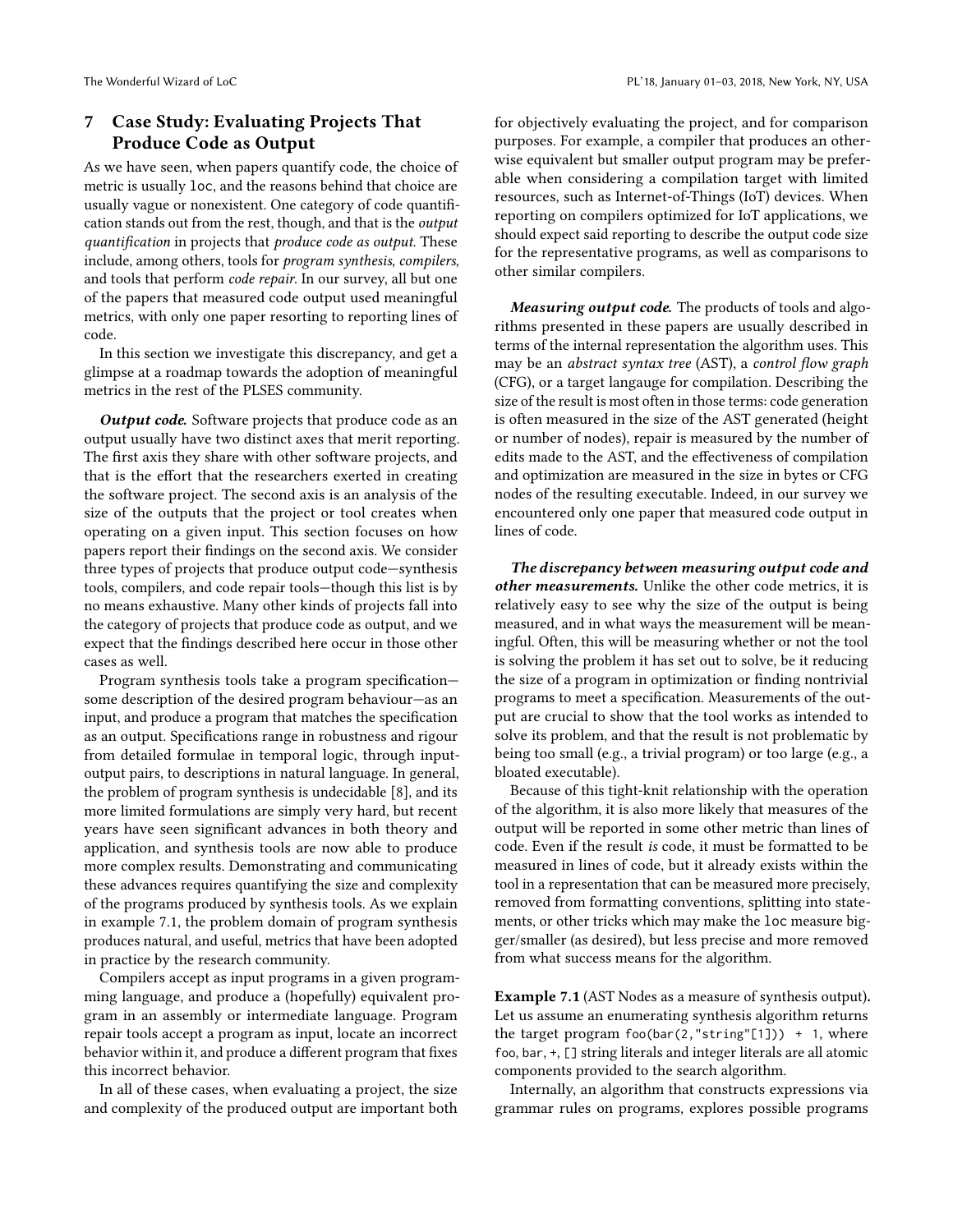# <span id="page-8-0"></span>7 Case Study: Evaluating Projects That Produce Code as Output

As we have seen, when papers quantify code, the choice of metric is usually loc, and the reasons behind that choice are usually vague or nonexistent. One category of code quantification stands out from the rest, though, and that is the output quantification in projects that produce code as output. These include, among others, tools for program synthesis, compilers, and tools that perform code repair. In our survey, all but one of the papers that measured code output used meaningful metrics, with only one paper resorting to reporting lines of code.

In this section we investigate this discrepancy, and get a glimpse at a roadmap towards the adoption of meaningful metrics in the rest of the PLSES community.

Output code. Software projects that produce code as an output usually have two distinct axes that merit reporting. The first axis they share with other software projects, and that is the effort that the researchers exerted in creating the software project. The second axis is an analysis of the size of the outputs that the project or tool creates when operating on a given input. This section focuses on how papers report their findings on the second axis. We consider three types of projects that produce output code—synthesis tools, compilers, and code repair tools—though this list is by no means exhaustive. Many other kinds of projects fall into the category of projects that produce code as output, and we expect that the findings described here occur in those other cases as well.

Program synthesis tools take a program specification some description of the desired program behaviour—as an input, and produce a program that matches the specification as an output. Specifications range in robustness and rigour from detailed formulae in temporal logic, through inputoutput pairs, to descriptions in natural language. In general, the problem of program synthesis is undecidable [\[8\]](#page-10-20), and its more limited formulations are simply very hard, but recent years have seen significant advances in both theory and application, and synthesis tools are now able to produce more complex results. Demonstrating and communicating these advances requires quantifying the size and complexity of the programs produced by synthesis tools. As we explain in example [7.1,](#page-8-1) the problem domain of program synthesis produces natural, and useful, metrics that have been adopted in practice by the research community.

Compilers accept as input programs in a given programming language, and produce a (hopefully) equivalent program in an assembly or intermediate language. Program repair tools accept a program as input, locate an incorrect behavior within it, and produce a different program that fixes this incorrect behavior.

In all of these cases, when evaluating a project, the size and complexity of the produced output are important both for objectively evaluating the project, and for comparison purposes. For example, a compiler that produces an otherwise equivalent but smaller output program may be preferable when considering a compilation target with limited resources, such as Internet-of-Things (IoT) devices. When reporting on compilers optimized for IoT applications, we should expect said reporting to describe the output code size for the representative programs, as well as comparisons to other similar compilers.

Measuring output code. The products of tools and algorithms presented in these papers are usually described in terms of the internal representation the algorithm uses. This may be an abstract syntax tree (AST), a control flow graph (CFG), or a target langauge for compilation. Describing the size of the result is most often in those terms: code generation is often measured in the size of the AST generated (height or number of nodes), repair is measured by the number of edits made to the AST, and the effectiveness of compilation and optimization are measured in the size in bytes or CFG nodes of the resulting executable. Indeed, in our survey we encountered only one paper that measured code output in lines of code.

The discrepancy between measuring output code and other measurements. Unlike the other code metrics, it is relatively easy to see why the size of the output is being measured, and in what ways the measurement will be meaningful. Often, this will be measuring whether or not the tool is solving the problem it has set out to solve, be it reducing the size of a program in optimization or finding nontrivial programs to meet a specification. Measurements of the output are crucial to show that the tool works as intended to solve its problem, and that the result is not problematic by being too small (e.g., a trivial program) or too large (e.g., a bloated executable).

Because of this tight-knit relationship with the operation of the algorithm, it is also more likely that measures of the output will be reported in some other metric than lines of code. Even if the result is code, it must be formatted to be measured in lines of code, but it already exists within the tool in a representation that can be measured more precisely, removed from formatting conventions, splitting into statements, or other tricks which may make the loc measure bigger/smaller (as desired), but less precise and more removed from what success means for the algorithm.

<span id="page-8-1"></span>Example 7.1 (AST Nodes as a measure of synthesis output). Let us assume an enumerating synthesis algorithm returns the target program foo(bar(2,"string"[1])) + 1, where foo, bar, +, [] string literals and integer literals are all atomic components provided to the search algorithm.

Internally, an algorithm that constructs expressions via grammar rules on programs, explores possible programs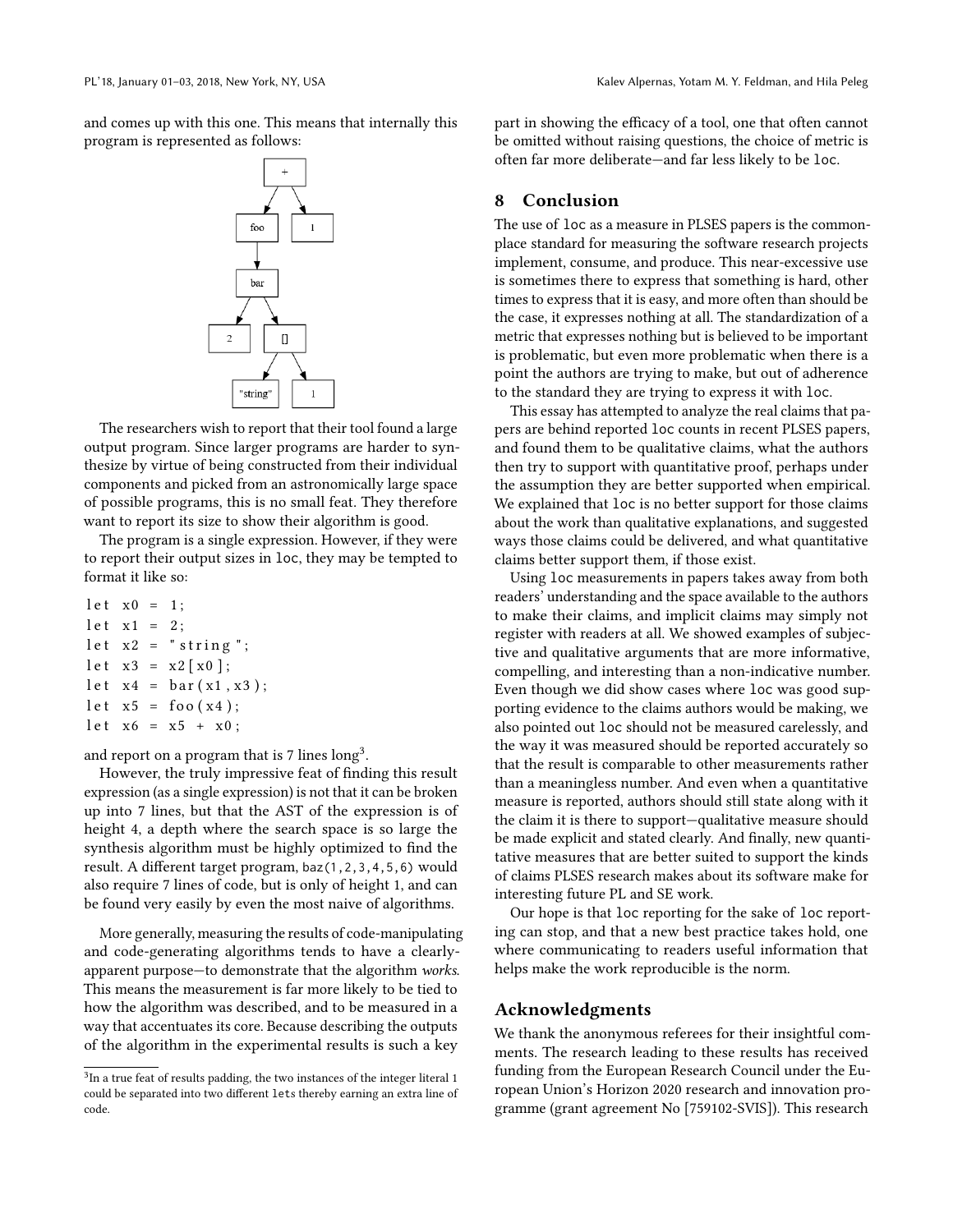and comes up with this one. This means that internally this program is represented as follows:



The researchers wish to report that their tool found a large output program. Since larger programs are harder to synthesize by virtue of being constructed from their individual components and picked from an astronomically large space of possible programs, this is no small feat. They therefore want to report its size to show their algorithm is good.

The program is a single expression. However, if they were to report their output sizes in loc, they may be tempted to format it like so:

```
let x0 = 1;
let x1 = 2;
let x2 = "string";let x3 = x2 [x0];let x4 = bar(x1, x3);let x5 = foo(x4);let x6 = x5 + x0;
```
and report on a program that is 7 lines  $\log^3$  $\log^3$ .

However, the truly impressive feat of finding this result expression (as a single expression) is not that it can be broken up into 7 lines, but that the AST of the expression is of height 4, a depth where the search space is so large the synthesis algorithm must be highly optimized to find the result. A different target program, baz(1,2,3,4,5,6) would also require 7 lines of code, but is only of height 1, and can be found very easily by even the most naive of algorithms.

More generally, measuring the results of code-manipulating and code-generating algorithms tends to have a clearlyapparent purpose—to demonstrate that the algorithm works. This means the measurement is far more likely to be tied to how the algorithm was described, and to be measured in a way that accentuates its core. Because describing the outputs of the algorithm in the experimental results is such a key

part in showing the efficacy of a tool, one that often cannot be omitted without raising questions, the choice of metric is often far more deliberate—and far less likely to be loc.

### 8 Conclusion

The use of loc as a measure in PLSES papers is the commonplace standard for measuring the software research projects implement, consume, and produce. This near-excessive use is sometimes there to express that something is hard, other times to express that it is easy, and more often than should be the case, it expresses nothing at all. The standardization of a metric that expresses nothing but is believed to be important is problematic, but even more problematic when there is a point the authors are trying to make, but out of adherence to the standard they are trying to express it with loc.

This essay has attempted to analyze the real claims that papers are behind reported loc counts in recent PLSES papers, and found them to be qualitative claims, what the authors then try to support with quantitative proof, perhaps under the assumption they are better supported when empirical. We explained that loc is no better support for those claims about the work than qualitative explanations, and suggested ways those claims could be delivered, and what quantitative claims better support them, if those exist.

Using loc measurements in papers takes away from both readers' understanding and the space available to the authors to make their claims, and implicit claims may simply not register with readers at all. We showed examples of subjective and qualitative arguments that are more informative, compelling, and interesting than a non-indicative number. Even though we did show cases where loc was good supporting evidence to the claims authors would be making, we also pointed out loc should not be measured carelessly, and the way it was measured should be reported accurately so that the result is comparable to other measurements rather than a meaningless number. And even when a quantitative measure is reported, authors should still state along with it the claim it is there to support—qualitative measure should be made explicit and stated clearly. And finally, new quantitative measures that are better suited to support the kinds of claims PLSES research makes about its software make for interesting future PL and SE work.

Our hope is that loc reporting for the sake of loc reporting can stop, and that a new best practice takes hold, one where communicating to readers useful information that helps make the work reproducible is the norm.

## Acknowledgments

We thank the anonymous referees for their insightful comments. The research leading to these results has received funding from the European Research Council under the European Union's Horizon 2020 research and innovation programme (grant agreement No [759102-SVIS]). This research

<span id="page-9-0"></span> $^{3}$ In a true feat of results padding, the two instances of the integer literal 1 could be separated into two different lets thereby earning an extra line of code.